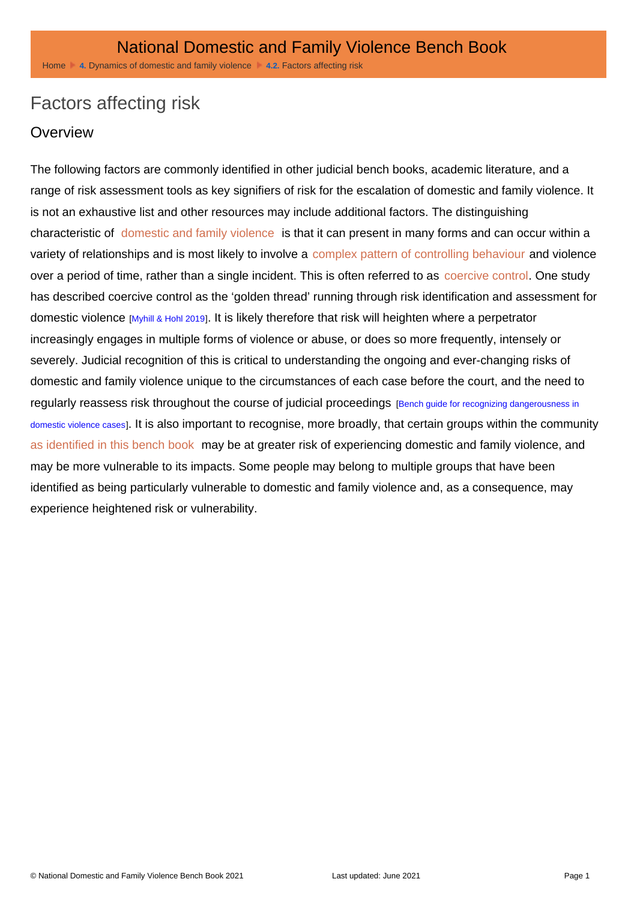# Factors affecting risk

#### **Overview**

The following factors are commonly identified in other judicial bench books, academic literature, and a range of risk assessment tools as key signifiers of risk for the escalation of domestic and family violence. It is not an exhaustive list and other resources may include additional factors. The distinguishing characteristic of [domestic and family violence](http://dfvbenchbook.aija.org.au/terminology/understanding-domestic-and-family-violence) is that it can present in many forms and can occur within a variety of relationships and is most likely to involve a [complex pattern of controlling behaviour](http://dfvbenchbook.aija.org.au/terminology/coercive-control) and violence over a period of time, rather than a single incident. This is often referred to as [coercive control](http://dfvbenchbook.aija.org.au/terminology/coercive-control). One study has described coercive control as the 'golden thread' running through risk identification and assessment for domestic violence [Myhill & Hohl 2019]. It is likely therefore that risk will heighten where a perpetrator increasingly engages in multiple forms of violence or abuse, or does so more frequently, intensely or severely. Judicial recognition of this is critical to understanding the ongoing and ever-changing risks of domestic and family violence unique to the circumstances of each case before the court, and the need to regularly reassess risk throughout the course of judicial proceedings [Bench guide for recognizing dangerousness in [domestic violence cases\]](http://dfvbenchbook.aija.org.au/dynamics-of-domestic-and-family-violence/factors-affecting-risk/or?ref=5500#t-5500). It is also important to recognise, more broadly, that certain groups within the community [as identified in this bench book](http://dfvbenchbook.aija.org.au/dynamics-of-domestic-and-family-violence/vulnerable-groups) may be at greater risk of experiencing domestic and family violence, and may be more vulnerable to its impacts. Some people may belong to multiple groups that have been identified as being particularly vulnerable to domestic and family violence and, as a consequence, may experience heightened risk or vulnerability.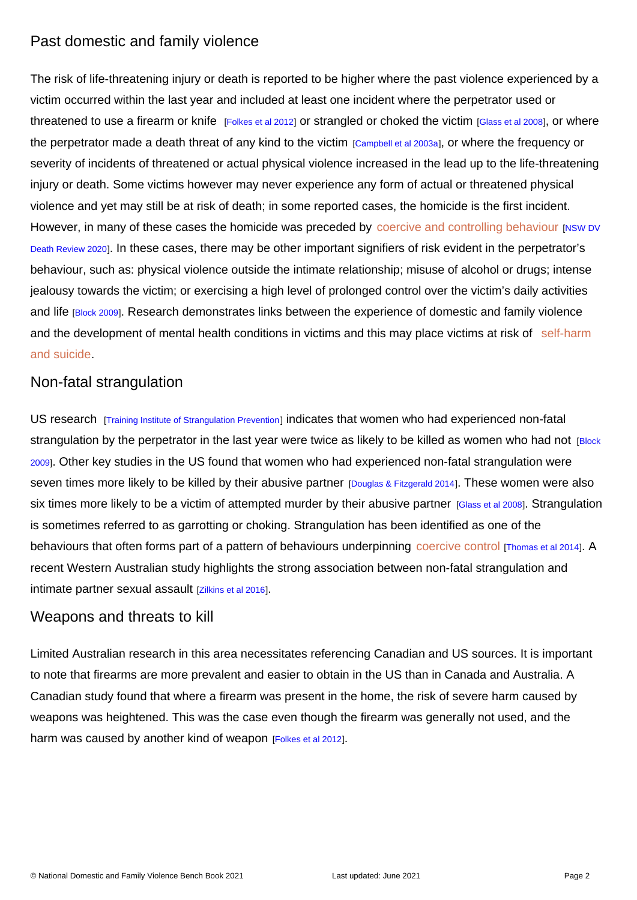# Past domestic and family violence

The risk of life-threatening injury or death is reported to be higher where the past violence experienced by a victim occurred within the last year and included at least one incident where the perpetrator used or threatened to use a firearm or knife [Folkes et al 2012] or strangled or choked the victim [Glass et al 2008], or where the perpetrator made a death threat of any kind to the victim [Campbell et al 2003a], or where the frequency or severity of incidents of threatened or actual physical violence increased in the lead up to the life-threatening injury or death. Some victims however may never experience any form of actual or threatened physical violence and yet may still be at risk of death; in some reported cases, the homicide is the first incident. However, in many of these cases the homicide was preceded by [coercive and controlling behaviour](http://dfvbenchbook.aija.org.au/terminology/coercive-control) [NSW DV [Death Review 2020](http://dfvbenchbook.aija.org.au/dynamics-of-domestic-and-family-violence/factors-affecting-risk/kl?ref=1150#t-1150)]. In these cases, there may be other important signifiers of risk evident in the perpetrator's behaviour, such as: physical violence outside the intimate relationship; misuse of alcohol or drugs; intense jealousy towards the victim; or exercising a high level of prolonged control over the victim's daily activities and life [Block 2009]. Research demonstrates links between the experience of domestic and family violence and the development of mental health conditions in victims and this may place victims at risk of self-harm [and suicide](http://dfvbenchbook.aija.org.au/vulnerable-groups/people-with-mental-illness).

#### Non-fatal strangulation

US research [Training Institute of Strangulation Prevention] indicates that women who had experienced non-fatal strangulation by the perpetrator in the last year were twice as likely to be killed as women who had not [Block [2009\]](http://dfvbenchbook.aija.org.au/dynamics-of-domestic-and-family-violence/factors-affecting-risk/kl?ref=9900#t-9900). Other key studies in the US found that women who had experienced non-fatal strangulation were seven times more likely to be killed by their abusive partner [Douglas & Fitzgerald 2014]. These women were also six times more likely to be a victim of attempted murder by their abusive partner [Glass et al 2008]. Strangulation is sometimes referred to as garrotting or choking. Strangulation has been identified as one of the behaviours that often forms part of a pattern of behaviours underpinning [coercive control](http://dfvbenchbook.aija.org.au/terminology/coercive-control) [Thomas et al 2014]. A recent Western Australian study highlights the strong association between non-fatal strangulation and intimate partner sexual assault [Zilkins et al 2016].

#### Weapons and threats to kill

Limited Australian research in this area necessitates referencing Canadian and US sources. It is important to note that firearms are more prevalent and easier to obtain in the US than in Canada and Australia. A Canadian study found that where a firearm was present in the home, the risk of severe harm caused by weapons was heightened. This was the case even though the firearm was generally not used, and the harm was caused by another kind of weapon [Folkes et al 2012].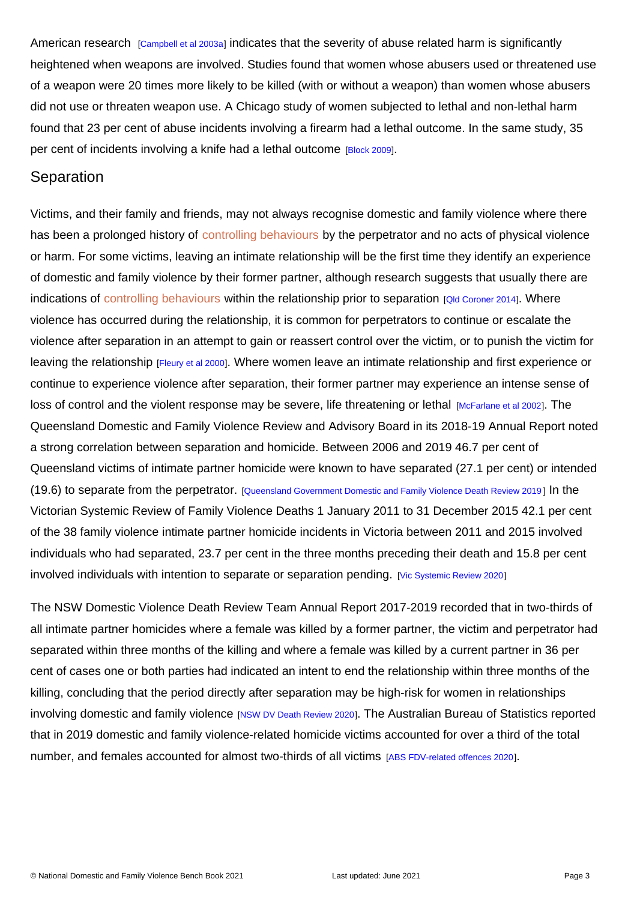American research [Campbell et al 2003a] indicates that the severity of abuse related harm is significantly heightened when weapons are involved. Studies found that women whose abusers used or threatened use of a weapon were 20 times more likely to be killed (with or without a weapon) than women whose abusers did not use or threaten weapon use. A Chicago study of women subjected to lethal and non-lethal harm found that 23 per cent of abuse incidents involving a firearm had a lethal outcome. In the same study, 35 per cent of incidents involving a knife had a lethal outcome **[Block 2009]**.

#### **Separation**

Victims, and their family and friends, may not always recognise domestic and family violence where there has been a prolonged history of [controlling behaviours](http://dfvbenchbook.aija.org.au/terminology/coercive-control) by the perpetrator and no acts of physical violence or harm. For some victims, leaving an intimate relationship will be the first time they identify an experience of domestic and family violence by their former partner, although research suggests that usually there are indications of [controlling behaviours](http://dfvbenchbook.aija.org.au/terminology/coercive-control) within the relationship prior to separation [Qld Coroner 2014]. Where violence has occurred during the relationship, it is common for perpetrators to continue or escalate the violence after separation in an attempt to gain or reassert control over the victim, or to punish the victim for leaving the relationship [Fleury et al 2000]. Where women leave an intimate relationship and first experience or continue to experience violence after separation, their former partner may experience an intense sense of loss of control and the violent response may be severe, life threatening or lethal *[McFarlane et al 2002]*. The Queensland Domestic and Family Violence Review and Advisory Board in its 2018-19 Annual Report noted a strong correlation between separation and homicide. Between 2006 and 2019 46.7 per cent of Queensland victims of intimate partner homicide were known to have separated (27.1 per cent) or intended (19.6) to separate from the perpetrator. [Queensland Government Domestic and Family Violence Death Review 2019 ] In the Victorian Systemic Review of Family Violence Deaths 1 January 2011 to 31 December 2015 42.1 per cent of the 38 family violence intimate partner homicide incidents in Victoria between 2011 and 2015 involved individuals who had separated, 23.7 per cent in the three months preceding their death and 15.8 per cent involved individuals with intention to separate or separation pending. [Vic Systemic Review 2020]

The NSW Domestic Violence Death Review Team Annual Report 2017-2019 recorded that in two-thirds of all intimate partner homicides where a female was killed by a former partner, the victim and perpetrator had separated within three months of the killing and where a female was killed by a current partner in 36 per cent of cases one or both parties had indicated an intent to end the relationship within three months of the killing, concluding that the period directly after separation may be high-risk for women in relationships involving domestic and family violence [NSW DV Death Review 2020]. The Australian Bureau of Statistics reported that in 2019 domestic and family violence-related homicide victims accounted for over a third of the total number, and females accounted for almost two-thirds of all victims [ABS FDV-related offences 2020].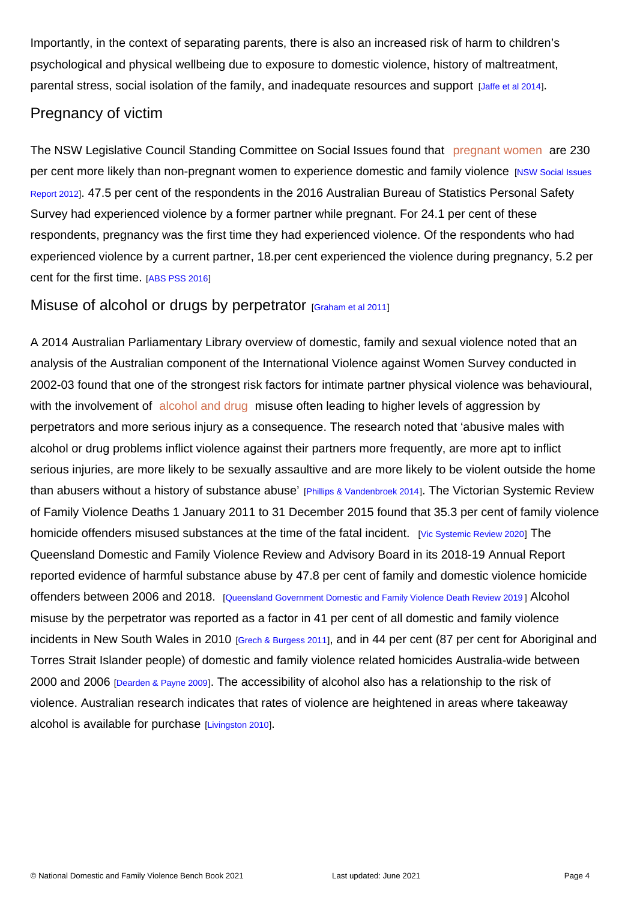Importantly, in the context of separating parents, there is also an increased risk of harm to children's psychological and physical wellbeing due to exposure to domestic violence, history of maltreatment, parental stress, social isolation of the family, and inadequate resources and support [Jaffe et al 2014].

#### Pregnancy of victim

The NSW Legislative Council Standing Committee on Social Issues found that [pregnant women](http://dfvbenchbook.aija.org.au/vulnerable-groups/pregnant-people) are 230 per cent more likely than non-pregnant women to experience domestic and family violence [NSW Social Issues] [Report 2012\]](http://dfvbenchbook.aija.org.au/dynamics-of-domestic-and-family-violence/factors-affecting-risk/kl?ref=1000#t-1000). 47.5 per cent of the respondents in the 2016 Australian Bureau of Statistics Personal Safety Survey had experienced violence by a former partner while pregnant. For 24.1 per cent of these respondents, pregnancy was the first time they had experienced violence. Of the respondents who had experienced violence by a current partner, 18.per cent experienced the violence during pregnancy, 5.2 per cent for the first time. [ABS PSS 2016]

#### Misuse of alcohol or drugs by perpetrator [\[Graham et al 2011](http://dfvbenchbook.aija.org.au/dynamics-of-domestic-and-family-violence/factors-affecting-risk/kl?ref=10500#t-10500)]

A 2014 Australian Parliamentary Library overview of domestic, family and sexual violence noted that an analysis of the Australian component of the International Violence against Women Survey conducted in 2002-03 found that one of the strongest risk factors for intimate partner physical violence was behavioural, with the involvement of [alcohol and drug](http://dfvbenchbook.aija.org.au/vulnerable-groups/people-affected-by-substance-misuse) misuse often leading to higher levels of aggression by perpetrators and more serious injury as a consequence. The research noted that 'abusive males with alcohol or drug problems inflict violence against their partners more frequently, are more apt to inflict serious injuries, are more likely to be sexually assaultive and are more likely to be violent outside the home than abusers without a history of substance abuse' [Phillips & Vandenbroek 2014]. The Victorian Systemic Review of Family Violence Deaths 1 January 2011 to 31 December 2015 found that 35.3 per cent of family violence homicide offenders misused substances at the time of the fatal incident. [Vic Systemic Review 2020] The Queensland Domestic and Family Violence Review and Advisory Board in its 2018-19 Annual Report reported evidence of harmful substance abuse by 47.8 per cent of family and domestic violence homicide offenders between 2006 and 2018. [Queensland Government Domestic and Family Violence Death Review 2019 ] Alcohol misuse by the perpetrator was reported as a factor in 41 per cent of all domestic and family violence incidents in New South Wales in 2010 [Grech & Burgess 2011], and in 44 per cent (87 per cent for Aboriginal and Torres Strait Islander people) of domestic and family violence related homicides Australia-wide between 2000 and 2006 [Dearden & Payne 2009]. The accessibility of alcohol also has a relationship to the risk of violence. Australian research indicates that rates of violence are heightened in areas where takeaway alcohol is available for purchase [Livingston 2010].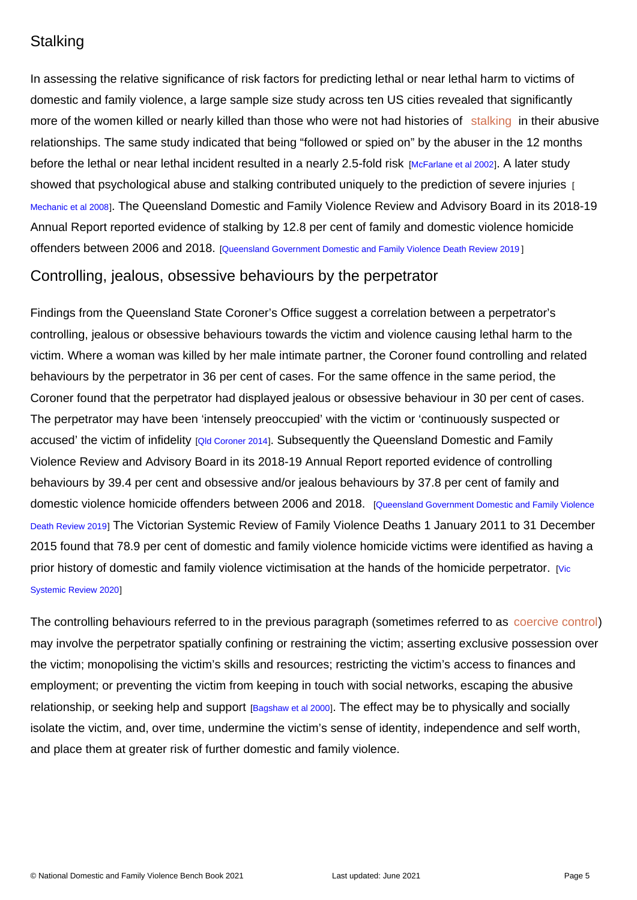# **Stalking**

In assessing the relative significance of risk factors for predicting lethal or near lethal harm to victims of domestic and family violence, a large sample size study across ten US cities revealed that significantly more of the women killed or nearly killed than those who were not had histories of [stalking](http://dfvbenchbook.aija.org.au/understanding-domestic-and-family-violence/following-harassing-and-monitoring) in their abusive relationships. The same study indicated that being "followed or spied on" by the abuser in the 12 months before the lethal or near lethal incident resulted in a nearly 2.5-fold risk [McFarlane et al 2002]. A later study showed that psychological abuse and stalking contributed uniquely to the prediction of severe injuries [1] [Mechanic et al 2008](http://dfvbenchbook.aija.org.au/dynamics-of-domestic-and-family-violence/factors-affecting-risk/kl?ref=10800#t-10800)]. The Queensland Domestic and Family Violence Review and Advisory Board in its 2018-19 Annual Report reported evidence of stalking by 12.8 per cent of family and domestic violence homicide offenders between 2006 and 2018. [Queensland Government Domestic and Family Violence Death Review 2019 ]

# Controlling, jealous, obsessive behaviours by the perpetrator

Findings from the Queensland State Coroner's Office suggest a correlation between a perpetrator's controlling, jealous or obsessive behaviours towards the victim and violence causing lethal harm to the victim. Where a woman was killed by her male intimate partner, the Coroner found controlling and related behaviours by the perpetrator in 36 per cent of cases. For the same offence in the same period, the Coroner found that the perpetrator had displayed jealous or obsessive behaviour in 30 per cent of cases. The perpetrator may have been 'intensely preoccupied' with the victim or 'continuously suspected or accused' the victim of infidelity [Qld Coroner 2014]. Subsequently the Queensland Domestic and Family Violence Review and Advisory Board in its 2018-19 Annual Report reported evidence of controlling behaviours by 39.4 per cent and obsessive and/or jealous behaviours by 37.8 per cent of family and domestic violence homicide offenders between 2006 and 2018. [Queensland Government Domestic and Family Violence [Death Review 2019](http://dfvbenchbook.aija.org.au/dynamics-of-domestic-and-family-violence/factors-affecting-risk/kl?ref=550#t-550)] The Victorian Systemic Review of Family Violence Deaths 1 January 2011 to 31 December 2015 found that 78.9 per cent of domestic and family violence homicide victims were identified as having a prior history of domestic and family violence victimisation at the hands of the homicide perpetrator. [Vic [Systemic Review 2020\]](http://dfvbenchbook.aija.org.au/dynamics-of-domestic-and-family-violence/factors-affecting-risk/kl?ref=1550#t-1550)

The controlling behaviours referred to in the previous paragraph (sometimes referred to as [coercive control](http://dfvbenchbook.aija.org.au/terminology/coercive-control)) may involve the perpetrator spatially confining or restraining the victim; asserting exclusive possession over the victim; monopolising the victim's skills and resources; restricting the victim's access to finances and employment; or preventing the victim from keeping in touch with social networks, escaping the abusive relationship, or seeking help and support [Bagshaw et al 2000]. The effect may be to physically and socially isolate the victim, and, over time, undermine the victim's sense of identity, independence and self worth, and place them at greater risk of further domestic and family violence.